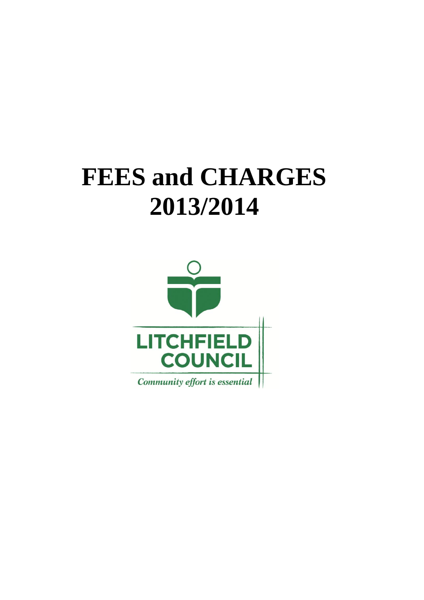# **FEES and CHARGES 2013/2014**

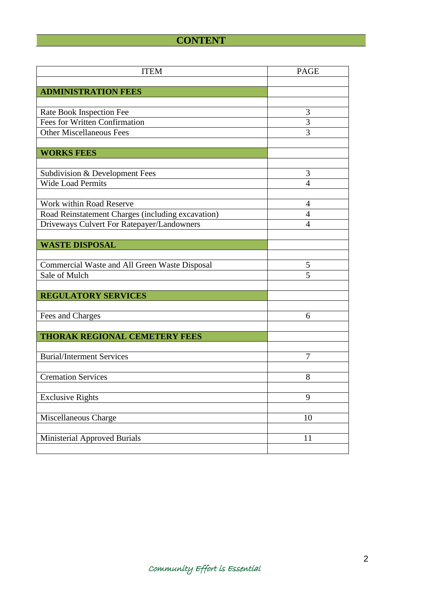# **CONTENT**

| <b>ITEM</b>                                       | <b>PAGE</b>    |
|---------------------------------------------------|----------------|
|                                                   |                |
| <b>ADMINISTRATION FEES</b>                        |                |
|                                                   |                |
| Rate Book Inspection Fee                          | 3              |
| <b>Fees for Written Confirmation</b>              | $\overline{3}$ |
| <b>Other Miscellaneous Fees</b>                   | 3              |
|                                                   |                |
| <b>WORKS FEES</b>                                 |                |
|                                                   |                |
| Subdivision & Development Fees                    | 3              |
| <b>Wide Load Permits</b>                          | 4              |
|                                                   |                |
| Work within Road Reserve                          | 4              |
| Road Reinstatement Charges (including excavation) | $\overline{4}$ |
| Driveways Culvert For Ratepayer/Landowners        | 4              |
|                                                   |                |
| <b>WASTE DISPOSAL</b>                             |                |
|                                                   |                |
| Commercial Waste and All Green Waste Disposal     | 5              |
| Sale of Mulch                                     | 5              |
|                                                   |                |
| <b>REGULATORY SERVICES</b>                        |                |
|                                                   |                |
| Fees and Charges                                  | 6              |
| THORAK REGIONAL CEMETERY FEES                     |                |
|                                                   |                |
| <b>Burial/Interment Services</b>                  | 7              |
|                                                   |                |
| <b>Cremation Services</b>                         | 8              |
|                                                   |                |
| <b>Exclusive Rights</b>                           | 9              |
|                                                   |                |
| Miscellaneous Charge                              | 10             |
|                                                   |                |
| <b>Ministerial Approved Burials</b>               | 11             |
|                                                   |                |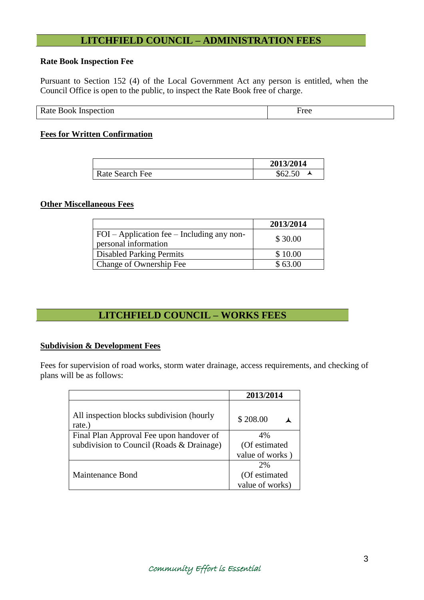## **LITCHFIELD COUNCIL – ADMINISTRATION FEES**

#### **Rate Book Inspection Fee**

Pursuant to Section 152 (4) of the Local Government Act any person is entitled, when the Council Office is open to the public, to inspect the Rate Book free of charge.

| Rate Book Inspection<br>. | ∹ree<br>$\sim$ $\sim$ |  |
|---------------------------|-----------------------|--|

#### **Fees for Written Confirmation**

|                 | 2013/2014 |
|-----------------|-----------|
| Rate Search Fee | \$62.50   |

#### **Other Miscellaneous Fees**

|                                                                      | 2013/2014 |
|----------------------------------------------------------------------|-----------|
| $FOI - Application fee - Including any non-$<br>personal information | \$30.00   |
| <b>Disabled Parking Permits</b>                                      | \$10.00   |
| Change of Ownership Fee                                              | \$63.00   |

### **LITCHFIELD COUNCIL – WORKS FEES**

#### **Subdivision & Development Fees**

Fees for supervision of road works, storm water drainage, access requirements, and checking of plans will be as follows:

|                                                     | 2013/2014       |
|-----------------------------------------------------|-----------------|
| All inspection blocks subdivision (hourly<br>rate.) | \$208.00        |
| Final Plan Approval Fee upon handover of            | 4%              |
| subdivision to Council (Roads & Drainage)           | (Of estimated   |
|                                                     | value of works) |
|                                                     | 2%              |
| Maintenance Bond                                    | (Of estimated   |
|                                                     | value of works) |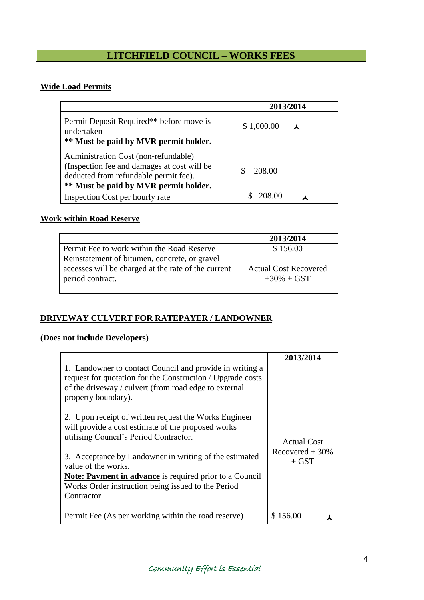## **LITCHFIELD COUNCIL – WORKS FEES**

## **Wide Load Permits**

|                                                                                                                                                                       | 2013/2014  |  |
|-----------------------------------------------------------------------------------------------------------------------------------------------------------------------|------------|--|
| Permit Deposit Required** before move is<br>undertaken<br>** Must be paid by MVR permit holder.                                                                       | \$1,000.00 |  |
| Administration Cost (non-refundable)<br>(Inspection fee and damages at cost will be<br>deducted from refundable permit fee).<br>** Must be paid by MVR permit holder. | 208.00     |  |
| Inspection Cost per hourly rate                                                                                                                                       |            |  |

#### **Work within Road Reserve**

|                                                                                                                          | 2013/2014                                     |
|--------------------------------------------------------------------------------------------------------------------------|-----------------------------------------------|
| Permit Fee to work within the Road Reserve                                                                               | \$156.00                                      |
| Reinstatement of bitumen, concrete, or gravel<br>accesses will be charged at the rate of the current<br>period contract. | <b>Actual Cost Recovered</b><br>$+30\% + GST$ |

#### **DRIVEWAY CULVERT FOR RATEPAYER / LANDOWNER**

#### **(Does not include Developers)**

|                                                                                                                                                                                                        | 2013/2014                   |
|--------------------------------------------------------------------------------------------------------------------------------------------------------------------------------------------------------|-----------------------------|
| 1. Landowner to contact Council and provide in writing a<br>request for quotation for the Construction / Upgrade costs<br>of the driveway / culvert (from road edge to external<br>property boundary). |                             |
| 2. Upon receipt of written request the Works Engineer<br>will provide a cost estimate of the proposed works<br>utilising Council's Period Contractor.                                                  | <b>Actual Cost</b>          |
| 3. Acceptance by Landowner in writing of the estimated<br>value of the works.                                                                                                                          | Recovered $+30%$<br>$+$ GST |
| <b>Note: Payment in advance</b> is required prior to a Council<br>Works Order instruction being issued to the Period<br>Contractor.                                                                    |                             |
| Permit Fee (As per working within the road reserve)                                                                                                                                                    | \$156.00                    |

Ξ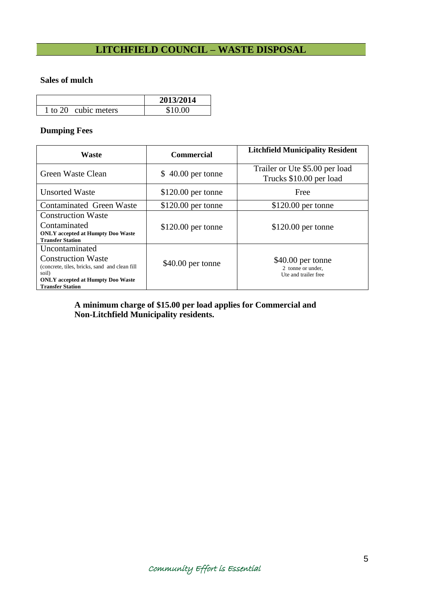## **LITCHFIELD COUNCIL – WASTE DISPOSAL**

#### **Sales of mulch**

|                      | 2013/2014 |
|----------------------|-----------|
| 1 to 20 cubic meters | \$10.00   |

#### **Dumping Fees**

| Waste                                                                                                                                                                         | <b>Commercial</b>   | <b>Litchfield Municipality Resident</b>                        |
|-------------------------------------------------------------------------------------------------------------------------------------------------------------------------------|---------------------|----------------------------------------------------------------|
| Green Waste Clean                                                                                                                                                             | $$40.00$ per tonne  | Trailer or Ute \$5.00 per load<br>Trucks \$10.00 per load      |
| <b>Unsorted Waste</b>                                                                                                                                                         | $$120.00$ per tonne | Free                                                           |
| Contaminated Green Waste                                                                                                                                                      | $$120.00$ per tonne | $$120.00$ per tonne                                            |
| <b>Construction Waste</b><br>Contaminated<br><b>ONLY</b> accepted at Humpty Doo Waste<br><b>Transfer Station</b>                                                              | $$120.00$ per tonne | $$120.00$ per tonne                                            |
| Uncontaminated<br><b>Construction Waste</b><br>(concrete, tiles, bricks, sand and clean fill)<br>soil)<br><b>ONLY</b> accepted at Humpty Doo Waste<br><b>Transfer Station</b> | \$40.00 per tonne   | \$40.00 per tonne<br>2 tonne or under,<br>Ute and trailer free |

 **A minimum charge of \$15.00 per load applies for Commercial and Non-Litchfield Municipality residents.**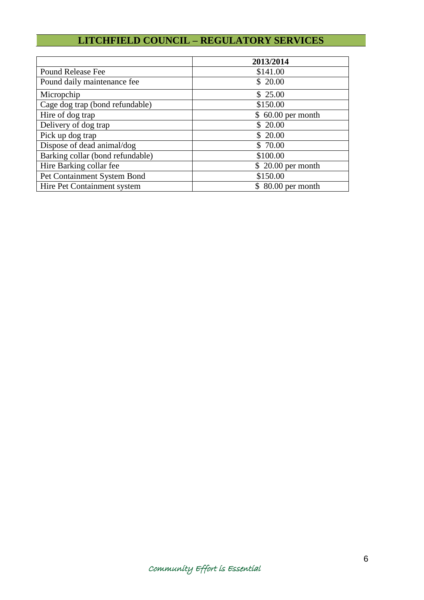# **LITCHFIELD COUNCIL – REGULATORY SERVICES**

|                                  | 2013/2014          |
|----------------------------------|--------------------|
| Pound Release Fee                | \$141.00           |
| Pound daily maintenance fee      | \$20.00            |
| Micropchip                       | \$25.00            |
| Cage dog trap (bond refundable)  | \$150.00           |
| Hire of dog trap                 | $$60.00$ per month |
| Delivery of dog trap             | \$20.00            |
| Pick up dog trap                 | \$20.00            |
| Dispose of dead animal/dog       | \$70.00            |
| Barking collar (bond refundable) | \$100.00           |
| Hire Barking collar fee          | $$20.00$ per month |
| Pet Containment System Bond      | \$150.00           |
| Hire Pet Containment system      | \$ 80.00 per month |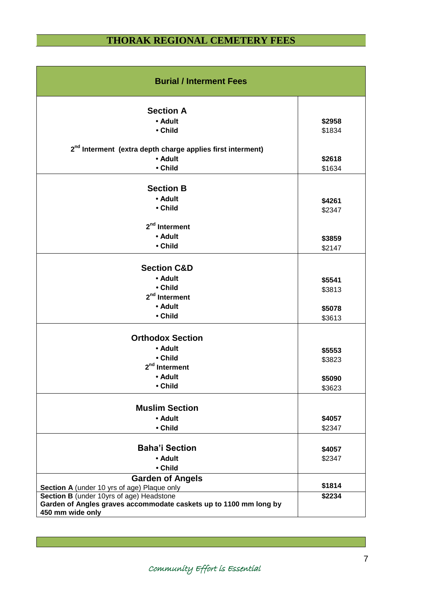# **THORAK REGIONAL CEMETERY FEES**

| <b>Burial / Interment Fees</b>                                                        |        |  |
|---------------------------------------------------------------------------------------|--------|--|
| <b>Section A</b>                                                                      |        |  |
| • Adult                                                                               | \$2958 |  |
| • Child                                                                               | \$1834 |  |
| 2 <sup>nd</sup> Interment (extra depth charge applies first interment)                |        |  |
| • Adult                                                                               | \$2618 |  |
| • Child                                                                               | \$1634 |  |
|                                                                                       |        |  |
| <b>Section B</b>                                                                      |        |  |
| • Adult                                                                               | \$4261 |  |
| • Child                                                                               | \$2347 |  |
|                                                                                       |        |  |
| 2 <sup>nd</sup> Interment                                                             |        |  |
| • Adult                                                                               | \$3859 |  |
| • Child                                                                               | \$2147 |  |
|                                                                                       |        |  |
| <b>Section C&amp;D</b>                                                                |        |  |
| • Adult                                                                               | \$5541 |  |
| • Child                                                                               | \$3813 |  |
| 2 <sup>nd</sup> Interment                                                             |        |  |
| • Adult                                                                               | \$5078 |  |
| • Child                                                                               | \$3613 |  |
|                                                                                       |        |  |
| <b>Orthodox Section</b>                                                               |        |  |
| • Adult                                                                               | \$5553 |  |
| • Child                                                                               | \$3823 |  |
| 2 <sup>nd</sup> Interment                                                             |        |  |
| • Adult                                                                               | \$5090 |  |
| • Child                                                                               | \$3623 |  |
|                                                                                       |        |  |
| <b>Muslim Section</b>                                                                 |        |  |
| • Adult                                                                               | \$4057 |  |
| • Child                                                                               | \$2347 |  |
|                                                                                       |        |  |
| <b>Baha'i Section</b>                                                                 | \$4057 |  |
| • Adult                                                                               | \$2347 |  |
| • Child                                                                               |        |  |
| <b>Garden of Angels</b>                                                               |        |  |
| Section A (under 10 yrs of age) Plaque only                                           | \$1814 |  |
| Section B (under 10yrs of age) Headstone                                              | \$2234 |  |
| Garden of Angles graves accommodate caskets up to 1100 mm long by<br>450 mm wide only |        |  |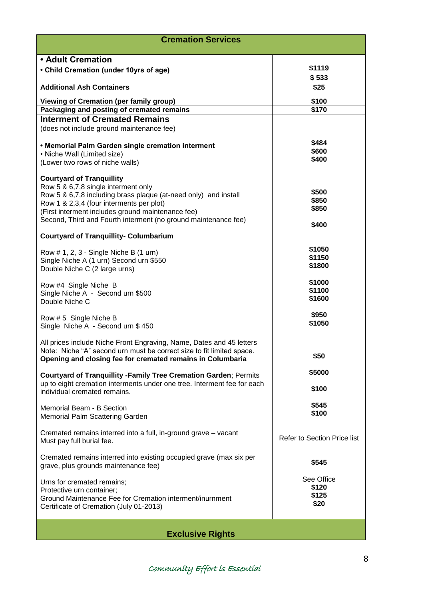| <b>Cremation Services</b>                                                                                                                     |                                    |  |
|-----------------------------------------------------------------------------------------------------------------------------------------------|------------------------------------|--|
| • Adult Cremation                                                                                                                             |                                    |  |
| • Child Cremation (under 10yrs of age)                                                                                                        | \$1119                             |  |
| <b>Additional Ash Containers</b>                                                                                                              | \$533<br>\$25                      |  |
|                                                                                                                                               |                                    |  |
| Viewing of Cremation (per family group)<br>Packaging and posting of cremated remains                                                          | \$100<br>\$170                     |  |
| <b>Interment of Cremated Remains</b>                                                                                                          |                                    |  |
| (does not include ground maintenance fee)                                                                                                     |                                    |  |
| • Memorial Palm Garden single cremation interment                                                                                             | \$484                              |  |
| • Niche Wall (Limited size)                                                                                                                   | \$600<br>\$400                     |  |
| (Lower two rows of niche walls)                                                                                                               |                                    |  |
| <b>Courtyard of Tranquillity</b><br>Row 5 & 6,7,8 single interment only                                                                       |                                    |  |
| Row 5 & 6,7,8 including brass plaque (at-need only) and install                                                                               | \$500                              |  |
| Row 1 & 2,3,4 (four interments per plot)                                                                                                      | \$850<br>\$850                     |  |
| (First interment includes ground maintenance fee)<br>Second, Third and Fourth interment (no ground maintenance fee)                           |                                    |  |
|                                                                                                                                               | \$400                              |  |
| <b>Courtyard of Tranquillity- Columbarium</b>                                                                                                 |                                    |  |
| Row # 1, 2, 3 - Single Niche B (1 urn)                                                                                                        | \$1050                             |  |
| Single Niche A (1 urn) Second urn \$550                                                                                                       | \$1150                             |  |
| Double Niche C (2 large urns)                                                                                                                 | \$1800                             |  |
| Row #4 Single Niche B                                                                                                                         | \$1000                             |  |
| Single Niche A - Second urn \$500                                                                                                             | \$1100                             |  |
| Double Niche C                                                                                                                                | \$1600                             |  |
| Row #5 Single Niche B                                                                                                                         | \$950                              |  |
| Single Niche A - Second urn \$450                                                                                                             | \$1050                             |  |
|                                                                                                                                               |                                    |  |
| All prices include Niche Front Engraving, Name, Dates and 45 letters<br>Note: Niche "A" second urn must be correct size to fit limited space. |                                    |  |
| Opening and closing fee for cremated remains in Columbaria                                                                                    | \$50                               |  |
| <b>Courtyard of Tranquillity - Family Tree Cremation Garden; Permits</b>                                                                      | \$5000                             |  |
| up to eight cremation interments under one tree. Interment fee for each                                                                       |                                    |  |
| individual cremated remains.                                                                                                                  | \$100                              |  |
| Memorial Beam - B Section                                                                                                                     | \$545                              |  |
| Memorial Palm Scattering Garden                                                                                                               | \$100                              |  |
|                                                                                                                                               |                                    |  |
| Cremated remains interred into a full, in-ground grave - vacant<br>Must pay full burial fee.                                                  | <b>Refer to Section Price list</b> |  |
|                                                                                                                                               |                                    |  |
| Cremated remains interred into existing occupied grave (max six per                                                                           | \$545                              |  |
| grave, plus grounds maintenance fee)                                                                                                          |                                    |  |
| Urns for cremated remains;                                                                                                                    | See Office                         |  |
| Protective urn container;                                                                                                                     | \$120<br>\$125                     |  |
| Ground Maintenance Fee for Cremation interment/inurnment<br>Certificate of Cremation (July 01-2013)                                           | \$20                               |  |
|                                                                                                                                               |                                    |  |
| <b>Exclusive Rights</b>                                                                                                                       |                                    |  |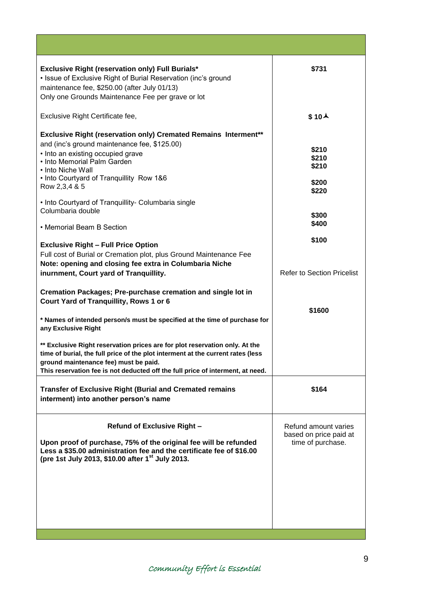| Exclusive Right (reservation only) Full Burials*<br>• Issue of Exclusive Right of Burial Reservation (inc's ground<br>maintenance fee, \$250.00 (after July 01/13)<br>Only one Grounds Maintenance Fee per grave or lot                                                                   | \$731                                                               |
|-------------------------------------------------------------------------------------------------------------------------------------------------------------------------------------------------------------------------------------------------------------------------------------------|---------------------------------------------------------------------|
| Exclusive Right Certificate fee,                                                                                                                                                                                                                                                          | \$10A                                                               |
| <b>Exclusive Right (reservation only) Cremated Remains Interment**</b><br>and (inc's ground maintenance fee, \$125.00)<br>• Into an existing occupied grave<br>• Into Memorial Palm Garden<br>• Into Niche Wall<br>. Into Courtyard of Tranquillity Row 1&6<br>Row 2,3,4 & 5              | \$210<br>\$210<br>\$210<br>\$200<br>\$220                           |
| • Into Courtyard of Tranquillity- Columbaria single<br>Columbaria double                                                                                                                                                                                                                  |                                                                     |
| • Memorial Beam B Section                                                                                                                                                                                                                                                                 | \$300<br>\$400                                                      |
| <b>Exclusive Right - Full Price Option</b>                                                                                                                                                                                                                                                | \$100                                                               |
| Full cost of Burial or Cremation plot, plus Ground Maintenance Fee<br>Note: opening and closing fee extra in Columbaria Niche<br>inurnment, Court yard of Tranquillity.                                                                                                                   | <b>Refer to Section Pricelist</b>                                   |
| Cremation Packages; Pre-purchase cremation and single lot in<br>Court Yard of Tranquillity, Rows 1 or 6                                                                                                                                                                                   | \$1600                                                              |
| * Names of intended person/s must be specified at the time of purchase for<br>any Exclusive Right                                                                                                                                                                                         |                                                                     |
| ** Exclusive Right reservation prices are for plot reservation only. At the<br>time of burial, the full price of the plot interment at the current rates (less<br>ground maintenance fee) must be paid.<br>This reservation fee is not deducted off the full price of interment, at need. |                                                                     |
| <b>Transfer of Exclusive Right (Burial and Cremated remains</b><br>interment) into another person's name                                                                                                                                                                                  | \$164                                                               |
| <b>Refund of Exclusive Right -</b><br>Upon proof of purchase, 75% of the original fee will be refunded<br>Less a \$35.00 administration fee and the certificate fee of \$16.00<br>(pre 1st July 2013, \$10.00 after 1st July 2013.                                                        | Refund amount varies<br>based on price paid at<br>time of purchase. |
|                                                                                                                                                                                                                                                                                           |                                                                     |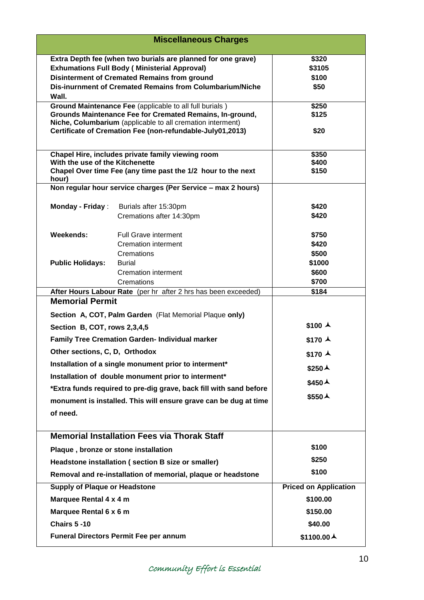| <b>Miscellaneous Charges</b>             |                                                                                                                                                                                                                                                                                                          |                                           |
|------------------------------------------|----------------------------------------------------------------------------------------------------------------------------------------------------------------------------------------------------------------------------------------------------------------------------------------------------------|-------------------------------------------|
| Wall.                                    | Extra Depth fee (when two burials are planned for one grave)<br><b>Exhumations Full Body (Ministerial Approval)</b><br><b>Disinterment of Cremated Remains from ground</b><br>Dis-inurnment of Cremated Remains from Columbarium/Niche<br><b>Ground Maintenance Fee (applicable to all full burials)</b> | \$320<br>\$3105<br>\$100<br>\$50<br>\$250 |
|                                          | Grounds Maintenance Fee for Cremated Remains, In-ground,<br>Niche, Columbarium (applicable to all cremation interment)<br>Certificate of Cremation Fee (non-refundable-July01,2013)                                                                                                                      | \$125<br>\$20                             |
| With the use of the Kitchenette<br>hour) | Chapel Hire, includes private family viewing room<br>Chapel Over time Fee (any time past the 1/2 hour to the next                                                                                                                                                                                        | \$350<br>\$400<br>\$150                   |
|                                          | Non regular hour service charges (Per Service - max 2 hours)                                                                                                                                                                                                                                             |                                           |
| Monday - Friday:                         | Burials after 15:30pm<br>Cremations after 14:30pm                                                                                                                                                                                                                                                        | \$420<br>\$420                            |
| <b>Weekends:</b>                         | <b>Full Grave interment</b><br><b>Cremation interment</b><br>Cremations                                                                                                                                                                                                                                  | \$750<br>\$420<br>\$500                   |
| <b>Public Holidays:</b>                  | <b>Burial</b><br><b>Cremation interment</b><br>Cremations                                                                                                                                                                                                                                                | \$1000<br>\$600<br>\$700                  |
|                                          | After Hours Labour Rate (per hr after 2 hrs has been exceeded)                                                                                                                                                                                                                                           | \$184                                     |
| <b>Memorial Permit</b>                   |                                                                                                                                                                                                                                                                                                          |                                           |
|                                          | Section A, COT, Palm Garden (Flat Memorial Plaque only)                                                                                                                                                                                                                                                  |                                           |
| Section B, COT, rows 2,3,4,5             |                                                                                                                                                                                                                                                                                                          | \$100 $\triangle$                         |
|                                          | <b>Family Tree Cremation Garden- Individual marker</b>                                                                                                                                                                                                                                                   | \$170 $\lambda$                           |
| Other sections, C, D, Orthodox           |                                                                                                                                                                                                                                                                                                          | $$170$ $\triangle$                        |
|                                          | Installation of a single monument prior to interment*                                                                                                                                                                                                                                                    | \$250A                                    |
|                                          | Installation of double monument prior to interment*                                                                                                                                                                                                                                                      | \$450A                                    |
| of need.                                 | *Extra funds required to pre-dig grave, back fill with sand before<br>monument is installed. This will ensure grave can be dug at time                                                                                                                                                                   | \$550A                                    |
|                                          |                                                                                                                                                                                                                                                                                                          |                                           |
|                                          | <b>Memorial Installation Fees via Thorak Staff</b>                                                                                                                                                                                                                                                       |                                           |
| Plaque, bronze or stone installation     |                                                                                                                                                                                                                                                                                                          | \$100                                     |
|                                          | Headstone installation (section B size or smaller)                                                                                                                                                                                                                                                       | \$250                                     |
|                                          | Removal and re-installation of memorial, plaque or headstone                                                                                                                                                                                                                                             | \$100                                     |
| <b>Supply of Plaque or Headstone</b>     |                                                                                                                                                                                                                                                                                                          | <b>Priced on Application</b>              |
| Marquee Rental 4 x 4 m                   |                                                                                                                                                                                                                                                                                                          | \$100.00                                  |
| Marquee Rental 6 x 6 m                   |                                                                                                                                                                                                                                                                                                          | \$150.00                                  |
| <b>Chairs 5 -10</b>                      |                                                                                                                                                                                                                                                                                                          | \$40.00                                   |
|                                          | <b>Funeral Directors Permit Fee per annum</b>                                                                                                                                                                                                                                                            | \$1100.00 A                               |